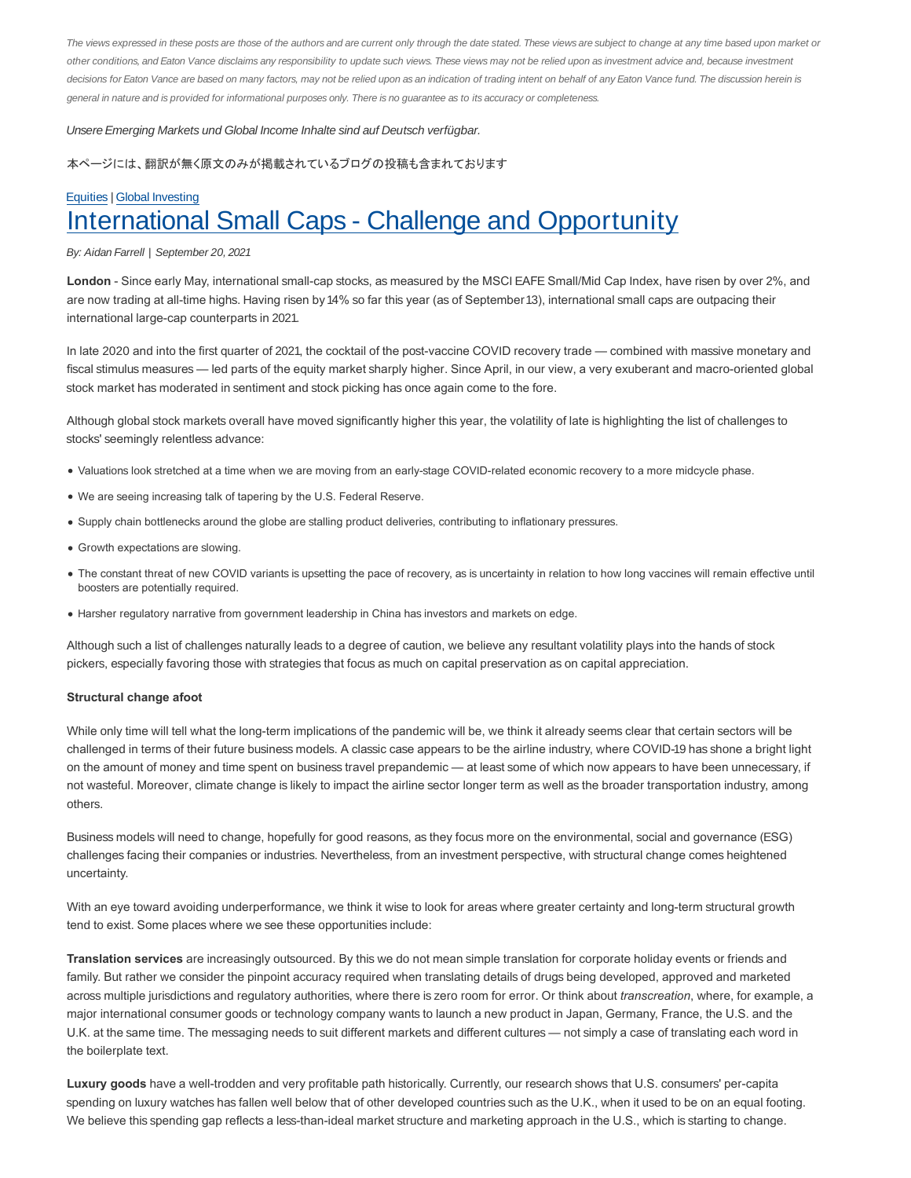The views expressed in these posts are those of the authors and are current only through the date stated. These views are subject to change at any time based upon market or other conditions, and Eaton Vance disclaims any responsibility to update such views. These views may not be relied upon as investment advice and, because investment decisions for Eaton Vance are based on many factors, may not be relied upon as an indication of trading intent on behalf of any Eaton Vance fund. The discussion herein is general in nature and is provided for informational purposes only. There is no guarantee as to its accuracy or completeness.

Unsere Emerging Markets und Global Income Inhalte sind auf Deutsch verfügbar.

本ページには、翻訳が無く原文のみが掲載されているブログの投稿も含まれております

## Equities | Global Investing International Small Caps - Challenge and Opportunity

#### By: Aidan Farrell | September 20, 2021

**London** - Since early May, international small-cap stocks, as measured by the MSCI EAFE Small/Mid Cap Index, have risen by over 2%, and are now trading at all-time highs. Having risen by 14% so far this year (as of September 13), international small caps are outpacing their international large-cap counterparts in 2021.

In late 2020 and into the first quarter of 2021, the cocktail of the post-vaccine COVID recovery trade — combined with massive monetary and fiscal stimulus measures — led parts of the equity market sharply higher. Since April, in our view, a very exuberant and macro-oriented global stock market has moderated in sentiment and stock picking has once again come to the fore.

Although global stock markets overall have moved significantly higher this year, the volatility of late is highlighting the list of challenges to stocks' seemingly relentless advance:

- Valuations look stretched at a time when we are moving from an early-stage COVID-related economic recovery to a more midcycle phase.
- We are seeing increasing talk of tapering by the U.S. Federal Reserve.
- Supply chain bottlenecks around the globe are stalling product deliveries, contributing to inflationary pressures.
- Growth expectations are slowing.
- The constant threat of new COVID variants is upsetting the pace of recovery, as is uncertainty in relation to how long vaccines will remain effective until boosters are potentially required.
- Harsher regulatory narrative from government leadership in China has investors and markets on edge.

Although such a list of challenges naturally leads to a degree of caution, we believe any resultant volatility plays into the hands of stock pickers, especially favoring those with strategies that focus as much on capital preservation as on capital appreciation.

#### **Structural change afoot**

While only time will tell what the long-term implications of the pandemic will be, we think it already seems clear that certain sectors will be challenged in terms of their future business models. A classic case appears to be the airline industry, where COVID-19 has shone a bright light on the amount of money and time spent on business travel prepandemic — at least some of which now appears to have been unnecessary, if not wasteful. Moreover, climate change is likely to impact the airline sector longer term as well as the broader transportation industry, among others.

Business models will need to change, hopefully for good reasons, as they focus more on the environmental, social and governance (ESG) challenges facing their companies or industries. Nevertheless, from an investment perspective, with structural change comes heightened uncertainty.

With an eye toward avoiding underperformance, we think it wise to look for areas where greater certainty and long-term structural growth tend to exist. Some places where we see these opportunities include:

**Translation services** are increasingly outsourced. By this we do not mean simple translation for corporate holiday events or friends and family. But rather we consider the pinpoint accuracy required when translating details of drugs being developed, approved and marketed across multiple jurisdictions and regulatory authorities, where there is zero room for error. Or think about *transcreation*, where, for example, a major international consumer goods or technology company wants to launch a new product in Japan, Germany, France, the U.S. and the U.K. at the same time. The messaging needs to suit different markets and different cultures — not simply a case of translating each word in the boilerplate text.

**Luxury goods** have a well-trodden and very profitable path historically. Currently, our research shows that U.S. consumers' per-capita spending on luxury watches has fallen well below that of other developed countries such as the U.K., when it used to be on an equal footing. We believe this spending gap reflects a less-than-ideal market structure and marketing approach in the U.S., which is starting to change.